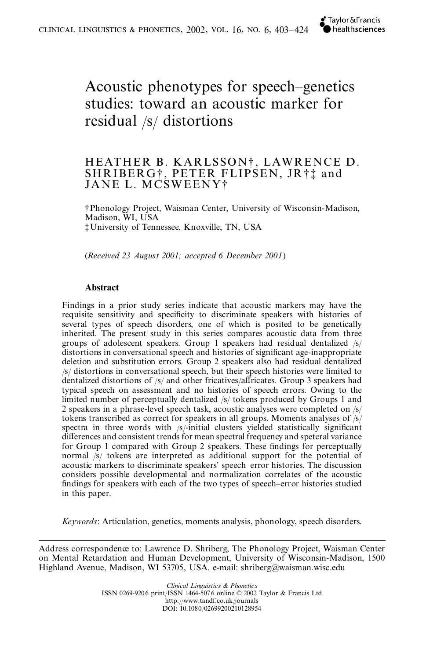# Acoustic phenotypes for speech–genetics studies: toward an acoustic marker for residual /s/ distortions

# HEATHER B. KARLSSON†, LAWRENCE D.<br>SHRIBERG†, PETER FLIPSEN, JR†‡ and JANE L. MCSWEENY†

†Phonology Project, Waisman Center, University of Wisconsin-Madison, Madison, WI, USA ‡University of Tennessee, Knoxville, TN, USA

(*Received 23 August 2001; accepted 6 December 2001*)

# **Abstract**

Findings in a prior study series indicate that acoustic markers may have the requisite sensitivity and specificity to discriminate speakers with histories of several types of speech disorders, one of which is posited to be genetically inherited. The present study in this series compares acoustic data from three groups of adolescent speakers. Group 1 speakers had residual dentalized /s/ distortions in conversational speech and histories of significant age-inappropriate deletion and substitution errors. Group 2 speakers also had residual dentalized /s/ distortions in conversational speech, but their speech histories were limited to dentalized distortions of  $/s/$  and other fricatives/affricates. Group 3 speakers had typical speech on assessment and no histories of speech errors. Owing to the limited number of perceptually dentalized /s/ tokens produced by Groups 1 and 2 speakers in a phrase-level speech task, acoustic analyses were completed on /s/ tokens transcribed as correct for speakers in all groups. Moments analyses of /s/ spectra in three words with  $/s$ -initial clusters yielded statistically significant differences and consistent trends for mean spectral frequency and spetcral variance for Group 1 compared with Group 2 speakers. These findings for perceptually normal /s/ tokens are interpreted as additional support for the potential of acoustic markers to discriminate speakers' speech–error histories. The discussion considers possible developmental and normalization correlates of the acoustic ndings for speakers with each of the two types of speech–error histories studied in this paper.

*Keywords*: Articulation, genetics, moments analysis, phonology, speech disorders.

Address correspondence to: Lawrence D. Shriberg, The Phonology Project, Waisman Center on Mental Retardation and Human Development, University of Wisconsin-Madison, 1500 Highland Avenue, Madison, WI 53705, USA. e-mail: shriberg@waisman.wisc.edu

> *Clinical Linguistics & Phonetics* ISSN 0269-9206 print/ISSN 1464-507 6 online © 2002 Taylor & Francis Ltd http://www.tandf.co.uk/journals DOI: 10.1080/02699200210128954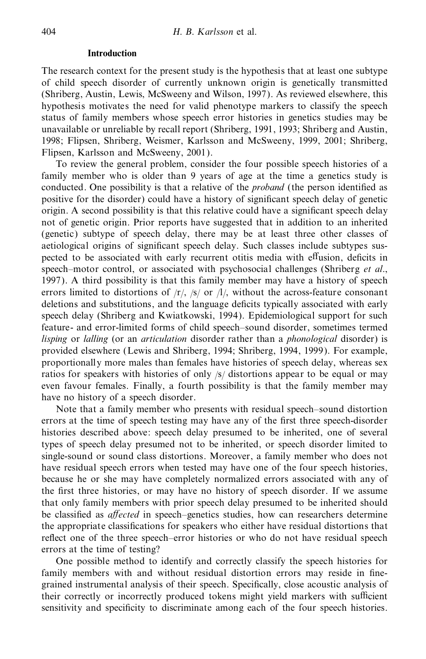#### **Introduction**

The research context for the present study is the hypothesis that at least one subtype of child speech disorder of currently unknown origin is genetically transmitted (Shriberg, Austin, Lewis, McSweeny and Wilson, 1997). As reviewed elsewhere, this hypothesis motivates the need for valid phenotype markers to classify the speech status of family members whose speech error histories in genetics studies may be unavailable or unreliable by recall report (Shriberg, 1991, 1993; Shriberg and Austin, 1998; Flipsen, Shriberg, Weismer, Karlsson and McSweeny, 1999, 2001; Shriberg, Flipsen, Karlsson and McSweeny, 2001).

To review the general problem, consider the four possible speech histories of a family member who is older than 9 years of age at the time a genetics study is conducted. One possibility is that a relative of the *proband* (the person identified as positive for the disorder) could have a history of significant speech delay of genetic origin. A second possibility is that this relative could have a significant speech delay not of genetic origin. Prior reports have suggested that in addition to an inherited (genetic) subtype of speech delay, there may be at least three other classes of aetiological origins of significant speech delay. Such classes include subtypes suspected to be associated with early recurrent otitis media with effusion, deficits in speech–motor control, or associated with psychosocial challenges (Shriberg *et al*., 1997). A third possibility is that this family member may have a history of speech errors limited to distortions of  $\langle r \rangle$ ,  $\langle s \rangle$  or  $\langle l \rangle$ , without the across-feature consonant deletions and substitutions, and the language deficits typically associated with early speech delay (Shriberg and Kwiatkowski, 1994). Epidemiological support for such feature- and error-limited forms of child speech–sound disorder, sometimes termed *lisping* or *lalling* (or an *articulation* disorder rather than a *phonological* disorder) is provided elsewhere (Lewis and Shriberg, 1994; Shriberg, 1994, 1999). For example, proportionally more males than females have histories of speech delay, whereas sex ratios for speakers with histories of only /s/ distortions appear to be equal or may even favour females. Finally, a fourth possibility is that the family member may have no history of a speech disorder.

Note that a family member who presents with residual speech–sound distortion errors at the time of speech testing may have any of the first three speech-disorder histories described above: speech delay presumed to be inherited, one of several types of speech delay presumed not to be inherited, or speech disorder limited to single-sound or sound class distortions. Moreover, a family member who does not have residual speech errors when tested may have one of the four speech histories, because he or she may have completely normalized errors associated with any of the first three histories, or may have no history of speech disorder. If we assume that only family members with prior speech delay presumed to be inherited should be classified as *affected* in speech–genetics studies, how can researchers determine the appropriate classifications for speakers who either have residual distortions that reflect one of the three speech–error histories or who do not have residual speech errors at the time of testing?

One possible method to identify and correctly classify the speech histories for family members with and without residual distortion errors may reside in finegrained instrumental analysis of their speech. Specifically, close acoustic analysis of their correctly or incorrectly produced tokens might yield markers with sufficient sensitivity and specificity to discriminate among each of the four speech histories.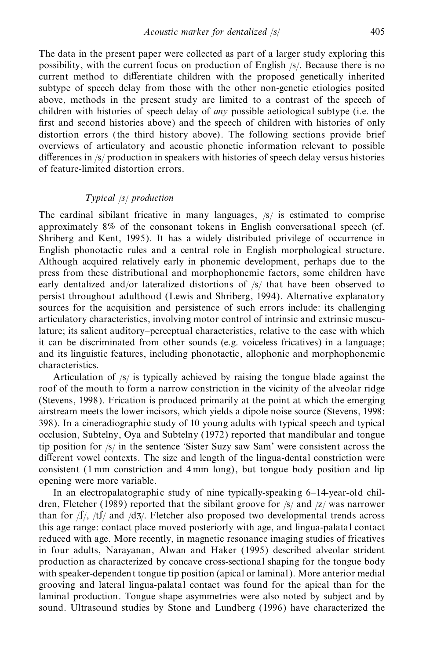The data in the present paper were collected as part of a larger study exploring this possibility, with the current focus on production of English /s/. Because there is no current method to differentiate children with the proposed genetically inherited subtype of speech delay from those with the other non-genetic etiologies posited above, methods in the present study are limited to a contrast of the speech of children with histories of speech delay of *any* possible aetiological subtype (i.e. the first and second histories above) and the speech of children with histories of only distortion errors (the third history above). The following sections provide brief overviews of articulatory and acoustic phonetic information relevant to possible differences in  $\frac{s}{r}$  production in speakers with histories of speech delay versus histories of feature-limited distortion errors.

# *Typical* /*s*/ *production*

The cardinal sibilant fricative in many languages, /s/ is estimated to comprise approximately 8% of the consonant tokens in English conversational speech (cf. Shriberg and Kent, 1995). It has a widely distributed privilege of occurrence in English phonotactic rules and a central role in English morphological structure. Although acquired relatively early in phonemic development, perhaps due to the press from these distributional and morphophonemic factors, some children have early dentalized and/or lateralized distortions of  $\beta$  that have been observed to persist throughout adulthood (Lewis and Shriberg, 1994). Alternative explanatory sources for the acquisition and persistence of such errors include: its challenging articulatory characteristics, involving motor control of intrinsic and extrinsic musculature; its salient auditory–perceptual characteristics, relative to the ease with which it can be discriminated from other sounds (e.g. voiceless fricatives) in a language; and its linguistic features, including phonotactic, allophonic and morphophonemic characteristics.

Articulation of /s/ is typically achieved by raising the tongue blade against the roof of the mouth to form a narrow constriction in the vicinity of the alveolar ridge (Stevens, 1998). Frication is produced primarily at the point at which the emerging airstream meets the lower incisors, which yields a dipole noise source (Stevens, 1998: 398). In a cineradiographic study of 10 young adults with typical speech and typical occlusion, Subtelny, Oya and Subtelny (1972) reported that mandibular and tongue tip position for  $\frac{s}{i}$  in the sentence 'Sister Suzy saw Sam' were consistent across the different vowel contexts. The size and length of the lingua-dental constriction were consistent (1 mm constriction and 4 mm long), but tongue body position and lip opening were more variable.

In an electropalatographic study of nine typically-speaking  $6-14$ -year-old children, Fletcher (1989) reported that the sibilant groove for /s/ and /z/ was narrower than for  $\int$ /, /t $\int$ / and /d3/. Fletcher also proposed two developmental trends across this age range: contact place moved posteriorly with age, and lingua-palatal contact reduced with age. More recently, in magnetic resonance imaging studies of fricatives in four adults, Narayanan, Alwan and Haker (1995) described alveolar strident production as characterized by concave cross-sectional shaping for the tongue body with speaker-dependent tongue tip position (apical or laminal). More anterior medial grooving and lateral lingua-palatal contact was found for the apical than for the laminal production. Tongue shape asymmetries were also noted by subject and by sound. Ultrasound studies by Stone and Lundberg (1996) have characterized the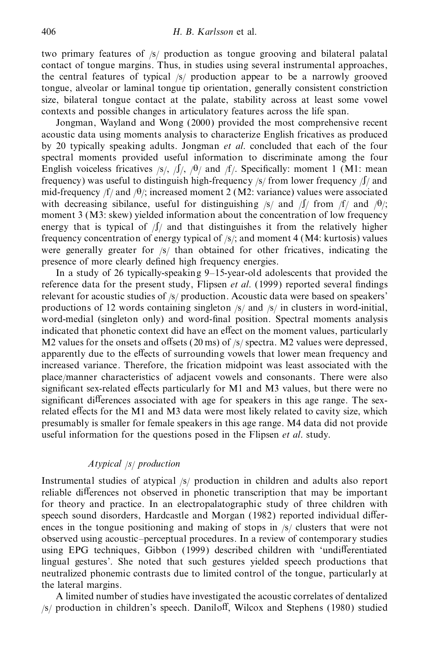two primary features of /s/ production as tongue grooving and bilateral palatal contact of tongue margins. Thus, in studies using several instrumental approaches, the central features of typical /s/ production appear to be a narrowly grooved tongue, alveolar or laminal tongue tip orientation, generally consistent constriction size, bilateral tongue contact at the palate, stability across at least some vowel contexts and possible changes in articulatory features across the life span.

Jongman, Wayland and Wong (2000) provided the most comprehensive recent acoustic data using moments analysis to characterize English fricatives as produced by 20 typically speaking adults. Jongman *et al*. concluded that each of the four spectral moments provided useful information to discriminate among the four English voiceless fricatives /s/,  $\int$ /,  $\int$ / $\theta$ / and /f/. Specifically: moment 1 (M1: mean frequency) was useful to distinguish high-frequency  $\frac{s}{r}$  from lower frequency  $\frac{f}{a}$  and mid-frequency  $f/$  and  $/θ$ ; increased moment 2 (M2: variance) values were associated with decreasing sibilance, useful for distinguishing  $|s|$  and  $|f|$  from  $|f|$  and  $|h|$ ; moment 3 (M3: skew) yielded information about the concentration of low frequency energy that is typical of  $\int / \int$  and that distinguishes it from the relatively higher frequency concentration of energy typical of /s/; and moment 4 (M4: kurtosis) values were generally greater for /s/ than obtained for other fricatives, indicating the presence of more clearly defined high frequency energies.

In a study of 26 typically-speaking 9–15-year-old adolescents that provided the reference data for the present study, Flipsen *et al.* (1999) reported several findings relevant for acoustic studies of /s/ production. Acoustic data were based on speakers' productions of 12 words containing singleton /s/ and /s/ in clusters in word-initial, word-medial (singleton only) and word-final position. Spectral moments analysis indicated that phonetic context did have an effect on the moment values, particularly M2 values for the onsets and offsets (20 ms) of  $\frac{s}{s}$  spectra. M2 values were depressed, apparently due to the effects of surrounding vowels that lower mean frequency and increased variance. Therefore, the frication midpoint was least associated with the place/manner characteristics of adjacent vowels and consonants. There were also significant sex-related effects particularly for M1 and M3 values, but there were no significant differences associated with age for speakers in this age range. The sexrelated effects for the M1 and M3 data were most likely related to cavity size, which presumably is smaller for female speakers in this age range. M4 data did not provide useful information for the questions posed in the Flipsen *et al*. study.

# *Atypical* /*s*/ *production*

Instrumental studies of atypical /s/ production in children and adults also report reliable differences not observed in phonetic transcription that may be important for theory and practice. In an electropalatographic study of three children with speech sound disorders, Hardcastle and Morgan (1982) reported individual differences in the tongue positioning and making of stops in /s/ clusters that were not observed using acoustic–perceptual procedures. In a review of contemporary studies using EPG techniques, Gibbon (1999) described children with 'undifferentiated lingual gestures'. She noted that such gestures yielded speech productions that neutralized phonemic contrasts due to limited control of the tongue, particularly at the lateral margins.

A limited number of studies have investigated the acoustic correlates of dentalized  $/$ s/ production in children's speech. Daniloff, Wilcox and Stephens (1980) studied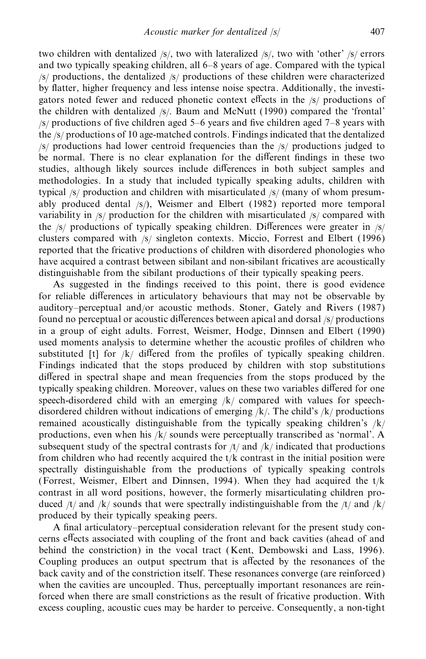two children with dentalized /s/, two with lateralized /s/, two with 'other' /s/ errors and two typically speaking children, all 6–8 years of age. Compared with the typical /s/ productions, the dentalized /s/ productions of these children were characterized by flatter, higher frequency and less intense noise spectra. Additionally, the investigators noted fewer and reduced phonetic context effects in the /s/ productions of the children with dentalized /s/. Baum and McNutt (1990) compared the 'frontal'  $/$ s/ productions of five children aged 5–6 years and five children aged 7–8 years with the /s/ productions of 10 age-matched controls. Findings indicated that the dentalized /s/ productions had lower centroid frequencies than the /s/ productions judged to be normal. There is no clear explanation for the different findings in these two studies, although likely sources include differences in both subject samples and methodologies. In a study that included typically speaking adults, children with typical /s/ production and children with misarticulated /s/ (many of whom presum ably produced dental  $\frac{s}{\lambda}$ , Weismer and Elbert (1982) reported more temporal variability in /s/ production for the children with misarticulated /s/ compared with the  $/s$  productions of typically speaking children. Differences were greater in  $/s/$ clusters compared with /s/ singleton contexts. Miccio, Forrest and Elbert (1996) reported that the fricative productions of children with disordered phonologies who have acquired a contrast between sibilant and non-sibilant fricatives are acoustically distinguishable from the sibilant productions of their typically speaking peers.

As suggested in the findings received to this point, there is good evidence for reliable differences in articulatory behaviours that may not be observable by auditory–perceptual and/or acoustic methods. Stoner, Gately and Rivers (1987) found no perceptual or acoustic differences between apical and dorsal /s/ productions in a group of eight adults. Forrest, Weismer, Hodge, Dinnsen and Elbert (1990) used moments analysis to determine whether the acoustic profiles of children who substituted [t] for  $/k/$  differed from the profiles of typically speaking children. Findings indicated that the stops produced by children with stop substitutions differed in spectral shape and mean frequencies from the stops produced by the typically speaking children. Moreover, values on these two variables differed for one speech-disordered child with an emerging  $/k/$  compared with values for speechdisordered children without indications of emerging  $/k$ . The child's  $/k$  productions remained acoustically distinguishable from the typically speaking children's /k/ productions, even when his /k/ sounds were perceptually transcribed as 'normal'. A subsequent study of the spectral contrasts for  $/t$  and  $/k$  indicated that productions from children who had recently acquired the  $t/k$  contrast in the initial position were spectrally distinguishable from the productions of typically speaking controls (Forrest, Weismer, Elbert and Dinnsen, 1994). When they had acquired the  $t/k$ contrast in all word positions, however, the formerly misarticulating children pro duced  $/t$  and  $/k$  sounds that were spectrally indistinguishable from the  $/t$  and  $/k$ produced by their typically speaking peers.

A final articulatory–perceptual consideration relevant for the present study concerns effects associated with coupling of the front and back cavities (ahead of and behind the constriction) in the vocal tract (Kent, Dembowski and Lass, 1996). Coupling produces an output spectrum that is affected by the resonances of the back cavity and of the constriction itself. These resonances converge (are reinforced) when the cavities are uncoupled. Thus, perceptually important resonances are reinforced when there are small constrictions as the result of fricative production. With excess coupling, acoustic cues may be harder to perceive. Consequently, a non-tight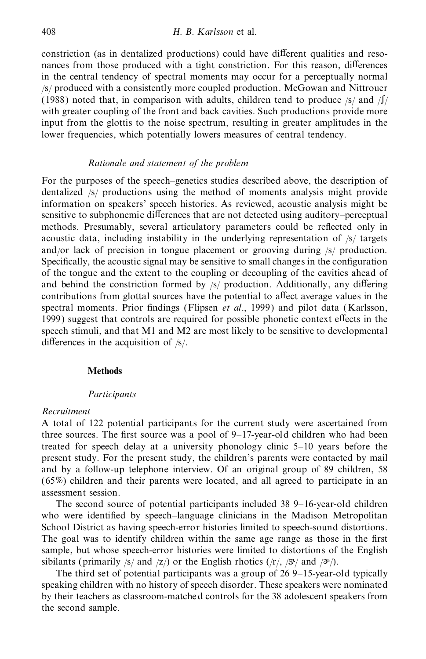constriction (as in dentalized productions) could have different qualities and resonances from those produced with a tight constriction. For this reason, differences in the central tendency of spectral moments may occur for a perceptually normal /s/ produced with a consistently more coupled production. McGowan and Nittrouer (1988) noted that, in comparison with adults, children tend to produce  $\frac{s}{\sqrt{2}}$  and  $\frac{s}{\sqrt{2}}$ with greater coupling of the front and back cavities. Such productions provide more input from the glottis to the noise spectrum, resulting in greater amplitudes in the lower frequencies, which potentially lowers measures of central tendency.

# *Rationale and statement of the problem*

For the purposes of the speech–genetics studies described above, the description of dentalized /s/ productions using the method of moments analysis might provide information on speakers' speech histories. As reviewed, acoustic analysis might be sensitive to subphonemic differences that are not detected using auditory–perceptual methods. Presumably, several articulatory parameters could be reflected only in acoustic data, including instability in the underlying representation of /s/ targets and/or lack of precision in tongue placement or grooving during /s/ production. Specifically, the acoustic signal may be sensitive to small changes in the configuration of the tongue and the extent to the coupling or decoupling of the cavities ahead of and behind the constriction formed by  $|s|$  production. Additionally, any differing contributions from glottal sources have the potential to affect average values in the spectral moments. Prior findings (Flipsen *et al.*, 1999) and pilot data (Karlsson, 1999) suggest that controls are required for possible phonetic context effects in the speech stimuli, and that M1 and M2 are most likely to be sensitive to developmental differences in the acquisition of  $/s/$ .

## **Methods**

#### *Participants*

## *Recruitment*

A total of 122 potential participants for the current study were ascertained from three sources. The first source was a pool of  $9-17$ -year-old children who had been treated for speech delay at a university phonology clinic 5–10 years before the present study. For the present study, the children's parents were contacted by mail and by a follow-up telephone interview. Of an original group of 89 children, 58 (65%) children and their parents were located, and all agreed to participate in an assessment session.

The second source of potential participants included 38 9–16-year-old children who were identified by speech–language clinicians in the Madison Metropolitan School District as having speech-error histories limited to speech-sound distortions. The goal was to identify children within the same age range as those in the first sample, but whose speech-error histories were limited to distortions of the English sibilants (primarily /s/ and /z/) or the English rhotics (/r/, / $\mathcal{F}$ / and / $\mathcal{F}$ /).

The third set of potential participants was a group of 26 9–15-year-old typically speaking children with no history of speech disorder. These speakers were nominated by their teachers as classroom-matched controls for the 38 adolescent speakers from the second sample.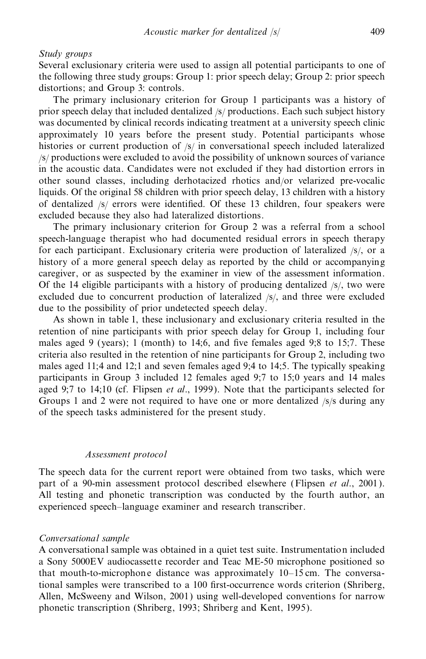## *Study groups*

Several exclusionary criteria were used to assign all potential participants to one of the following three study groups: Group 1: prior speech delay; Group 2: prior speech distortions; and Group 3: controls.

The primary inclusionary criterion for Group 1 participants was a history of prior speech delay that included dentalized /s/ productions. Each such subject history was documented by clinical records indicating treatment at a university speech clinic approximately 10 years before the present study. Potential participants whose histories or current production of /s/ in conversational speech included lateralized /s/ productions were excluded to avoid the possibility of unknown sources of variance in the acoustic data. Candidates were not excluded if they had distortion errors in other sound classes, including derhotacized rhotics and/or velarized pre-vocalic liquids. Of the original 58 children with prior speech delay, 13 children with a history of dentalized  $/s/$  errors were identified. Of these 13 children, four speakers were excluded because they also had lateralized distortions.

The primary inclusionary criterion for Group 2 was a referral from a school speech-language therapist who had documented residual errors in speech therapy for each participant. Exclusionary criteria were production of lateralized /s/, or a history of a more general speech delay as reported by the child or accompanying caregiver, or as suspected by the examiner in view of the assessment information. Of the 14 eligible participants with a history of producing dentalized /s/, two were excluded due to concurrent production of lateralized /s/, and three were excluded due to the possibility of prior undetected speech delay.

As shown in table 1, these inclusionary and exclusionary criteria resulted in the retention of nine participants with prior speech delay for Group 1, including four males aged 9 (years); 1 (month) to 14;6, and five females aged 9;8 to 15;7. These criteria also resulted in the retention of nine participants for Group 2, including two males aged 11;4 and 12;1 and seven females aged 9;4 to 14;5. The typically speaking participants in Group 3 included 12 females aged 9;7 to 15;0 years and 14 males aged 9;7 to 14;10 (cf. Flipsen *et al*., 1999). Note that the participants selected for Groups 1 and 2 were not required to have one or more dentalized /s/s during any of the speech tasks administered for the present study.

## *Assessment protocol*

The speech data for the current report were obtained from two tasks, which were part of a 90-min assessment protocol described elsewhere (Flipsen *et al*., 2001). All testing and phonetic transcription was conducted by the fourth author, an experienced speech–language examiner and research transcriber.

## *Conversational sample*

A conversational sample was obtained in a quiet test suite. Instrumentation included a Sony 5000EV audiocassette recorder and Teac ME-50 microphone positioned so that mouth-to-microphone distance was approximately 10–15 cm. The conversational samples were transcribed to a 100 first-occurrence words criterion (Shriberg, Allen, McSweeny and Wilson, 2001) using well-developed conventions for narrow phonetic transcription (Shriberg, 1993; Shriberg and Kent, 1995).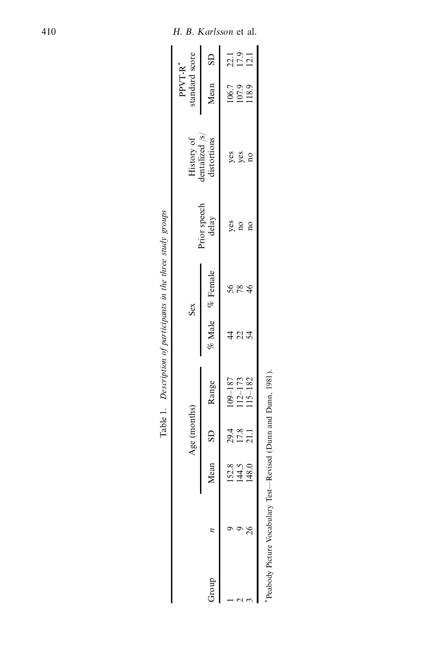|       |                             | Age (months)         |                            |                | Sex             |                       | History of<br>dentalized $/s/$ | standard score<br>$PPVT-Ra$ |                      |
|-------|-----------------------------|----------------------|----------------------------|----------------|-----------------|-----------------------|--------------------------------|-----------------------------|----------------------|
| qnon. | Mean                        |                      | SD Range                   |                | % Male % Female | Prior speech<br>delay | distortions                    | Mean SD                     |                      |
|       |                             |                      | $109 - 187$                |                | 56              |                       |                                |                             |                      |
|       | $1528$<br>$1430$<br>$148.0$ | 29.4<br>17.8<br>21.1 |                            | $\overline{2}$ | 78              | yes<br>no             | yes<br>yes                     | 106.7<br>107.9<br>118.9     | 22.1<br>17.9<br>12.1 |
|       |                             |                      | $112 - 173$<br>$115 - 182$ | 54             | $\frac{4}{6}$   | $\overline{a}$        | $\overline{\mathbf{n}}$        |                             |                      |

| l                                                           |  |
|-------------------------------------------------------------|--|
|                                                             |  |
|                                                             |  |
| ļ                                                           |  |
|                                                             |  |
|                                                             |  |
|                                                             |  |
| ĺ                                                           |  |
| i                                                           |  |
|                                                             |  |
|                                                             |  |
|                                                             |  |
| I                                                           |  |
|                                                             |  |
|                                                             |  |
|                                                             |  |
|                                                             |  |
|                                                             |  |
|                                                             |  |
|                                                             |  |
|                                                             |  |
| ļ                                                           |  |
|                                                             |  |
| l                                                           |  |
|                                                             |  |
|                                                             |  |
| ֧֧֢ׅ֧֧ׅ֧ׅ֧֧ׅ֧ׅ֧ׅ֧ׅ֧֧֛֪֧֛֚֚֚֚֚֚֚֚֚֚֚֚֚֚֚֚֚֚֚֚֚֚֚֝֓֜֜֟֓֜֜֜֜֜֜ |  |
| í                                                           |  |
|                                                             |  |
|                                                             |  |
|                                                             |  |
|                                                             |  |
|                                                             |  |
| ì                                                           |  |
| į                                                           |  |
|                                                             |  |
| ì                                                           |  |
|                                                             |  |
|                                                             |  |
|                                                             |  |
| ֖֖֖֖֖֧֚֚֚֚֚֚֚֚֚֚֚֚֚֚֚֚֚֚֚֚֚֚֚֚֚֚֚֚֚֬֝֓֡֓֬֝֓֬<br>I           |  |
| ī                                                           |  |
|                                                             |  |
|                                                             |  |
|                                                             |  |
|                                                             |  |
|                                                             |  |
|                                                             |  |
| ï                                                           |  |
|                                                             |  |
| Ì                                                           |  |
|                                                             |  |
|                                                             |  |
|                                                             |  |
| l                                                           |  |
|                                                             |  |
|                                                             |  |
| l                                                           |  |
|                                                             |  |
|                                                             |  |
|                                                             |  |
|                                                             |  |
| i                                                           |  |
|                                                             |  |
|                                                             |  |
|                                                             |  |
| i                                                           |  |
| $\ddot{\phantom{a}}$                                        |  |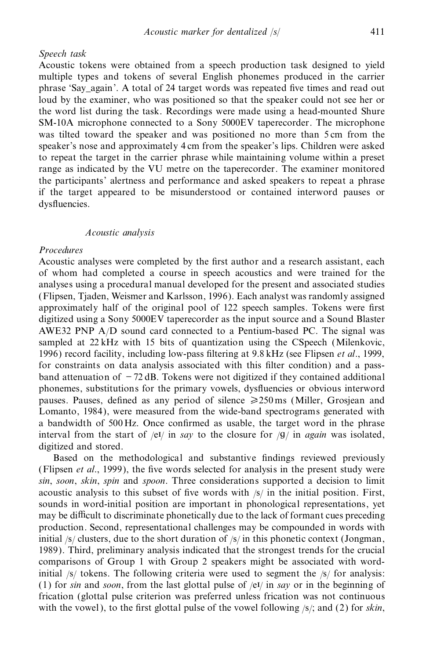### *Speech task*

Acoustic tokens were obtained from a speech production task designed to yield multiple types and tokens of several English phonemes produced in the carrier phrase 'Say\_again'. A total of 24 target words was repeated five times and read out loud by the examiner, who was positioned so that the speaker could not see her or the word list during the task. Recordings were made using a head-mounted Shure SM-10A microphone connected to a Sony 5000EV taperecorder. The microphone was tilted toward the speaker and was positioned no more than 5 cm from the speaker's nose and approximately 4 cm from the speaker's lips. Children were asked to repeat the target in the carrier phrase while maintaining volume within a preset range as indicated by the VU metre on the taperecorder. The examiner monitored the participants' alertness and performance and asked speakers to repeat a phrase if the target appeared to be misunderstood or contained interword pauses or dysfluencies.

## *Acoustic analysis*

# *Procedures*

Acoustic analyses were completed by the first author and a research assistant, each of whom had completed a course in speech acoustics and were trained for the analyses using a procedural manual developed for the present and associated studies (Flipsen, Tjaden, Weismer and Karlsson, 1996). Each analyst was randomly assigned approximately half of the original pool of 122 speech samples. Tokens were first digitized using a Sony 5000EV taperecorder as the input source and a Sound Blaster AWE32 PNP A/D sound card connected to a Pentium-based PC. The signal was sampled at 22 kHz with 15 bits of quantization using the CSpeech (Milenkovic, 1996) record facility, including low-pass ltering at 9.8 kHz (see Flipsen *et al*., 1999, for constraints on data analysis associated with this filter condition) and a passband attenuation of  $-72$  dB. Tokens were not digitized if they contained additional phonemes, substitutions for the primary vowels, dysfluencies or obvious interword pauses. Pauses, defined as any period of silence  $\geq 250 \,\text{ms}$  (Miller, Grosjean and Lomanto, 1984), were measured from the wide-band spectrograms generated with a bandwidth of 500 Hz. Once confirmed as usable, the target word in the phrase interval from the start of  $/eV$  in *say* to the closure for  $/g/$  in *again* was isolated, digitized and stored.

Based on the methodological and substantive findings reviewed previously (Flipsen *et al.*, 1999), the five words selected for analysis in the present study were *sin*, *soon*, *skin*, *spin* and *spoon*. Three considerations supported a decision to limit acoustic analysis to this subset of five words with  $|s|$  in the initial position. First, sounds in word-initial position are important in phonological representations, yet may be difficult to discriminate phonetically due to the lack of formant cues preceding production. Second, representational challenges may be compounded in words with initial  $\frac{1}{s}$  clusters, due to the short duration of  $\frac{s}{i}$  in this phonetic context (Jongman, 1989). Third, preliminary analysis indicated that the strongest trends for the crucial comparisons of Group 1 with Group 2 speakers might be associated with wordinitial  $\frac{1}{s}$  tokens. The following criteria were used to segment the  $\frac{s}{s}$  for analysis: (1) for *sin* and *soon*, from the last glottal pulse of /eI/ in *say* or in the beginning of frication (glottal pulse criterion was preferred unless frication was not continuous with the vowel), to the first glottal pulse of the vowel following  $\frac{s}{i}$ ; and (2) for *skin*,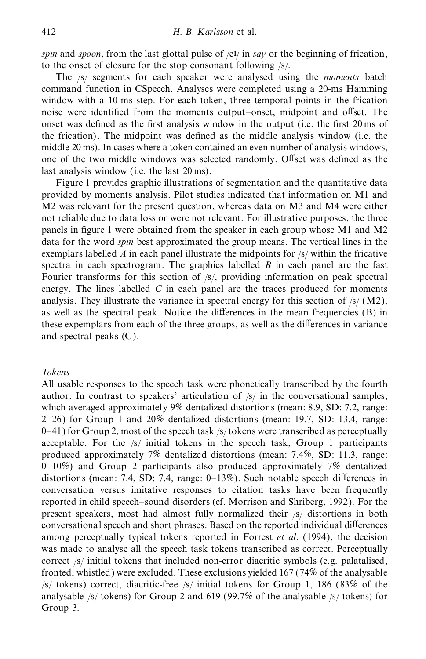*spin* and *spoon*, from the last glottal pulse of /eI/ in *say* or the beginning of frication, to the onset of closure for the stop consonant following /s/.

The /s/ segments for each speaker were analysed using the *moments* batch command function in CSpeech. Analyses were completed using a 20-ms Hamming window with a 10-ms step. For each token, three temporal points in the frication noise were identified from the moments output–onset, midpoint and offset. The onset was defined as the first analysis window in the output (i.e. the first 20 ms of the frication). The midpoint was defined as the middle analysis window (i.e. the middle 20 ms). In cases where a token contained an even number of analysis windows, one of the two middle windows was selected randomly. Offset was defined as the last analysis window (i.e. the last 20 ms).

Figure 1 provides graphic illustrations of segmentation and the quantitative data provided by moments analysis. Pilot studies indicated that information on M1 and M2 was relevant for the present question, whereas data on M3 and M4 were either not reliable due to data loss or were not relevant. For illustrative purposes, the three panels in figure 1 were obtained from the speaker in each group whose M1 and M2 data for the word *spin* best approximated the group means. The vertical lines in the exemplars labelled  $\Lambda$  in each panel illustrate the midpoints for  $\frac{1}{S}$  within the fricative spectra in each spectrogram. The graphics labelled *B* in each panel are the fast Fourier transforms for this section of /s/, providing information on peak spectral energy. The lines labelled *C* in each panel are the traces produced for moments analysis. They illustrate the variance in spectral energy for this section of  $\frac{1}{s}$  (M2), as well as the spectral peak. Notice the differences in the mean frequencies  $(B)$  in these expemplars from each of the three groups, as well as the differences in variance and spectral peaks (C).

# *Tokens*

All usable responses to the speech task were phonetically transcribed by the fourth author. In contrast to speakers' articulation of  $\frac{s}{i}$  in the conversational samples, which averaged approximately 9% dentalized distortions (mean: 8.9, SD: 7.2, range: 2–26) for Group 1 and 20% dentalized distortions (mean: 19.7, SD: 13.4, range: 0–41) for Group 2, most of the speech task /s/ tokens were transcribed as perceptually acceptable. For the /s/ initial tokens in the speech task, Group 1 participants produced approximately 7% dentalized distortions (mean: 7.4%, SD: 11.3, range:  $0-10\%$ ) and Group 2 participants also produced approximately 7% dentalized distortions (mean: 7.4, SD: 7.4, range:  $0-13\%$ ). Such notable speech differences in conversation versus imitative responses to citation tasks have been frequently reported in child speech–sound disorders (cf. Morrison and Shriberg, 1992). For the present speakers, most had almost fully normalized their /s/ distortions in both conversational speech and short phrases. Based on the reported individual differences among perceptually typical tokens reported in Forrest *et al*. (1994), the decision was made to analyse all the speech task tokens transcribed as correct. Perceptually correct /s/ initial tokens that included non-error diacritic symbols (e.g. palatalised, fronted, whistled) were excluded. These exclusions yielded 167 (74% of the analysable  $/$ s/ tokens) correct, diacritic-free  $/$ s/ initial tokens for Group 1, 186 (83% of the analysable /s/ tokens) for Group 2 and 619 (99.7% of the analysable /s/ tokens) for Group 3.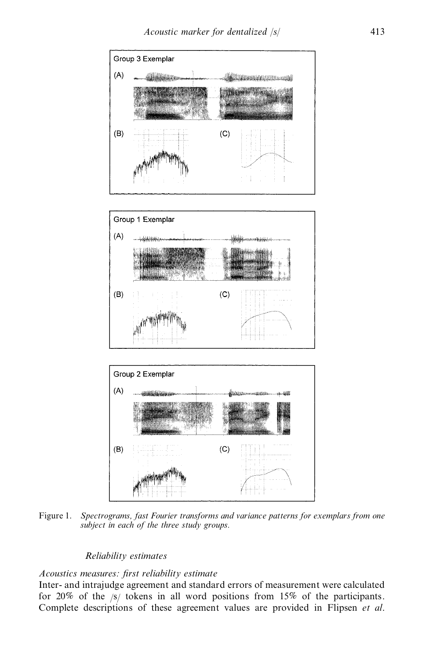

Figure 1. *Spectrograms, fast Fourier transforms and variance patterns for exemplars from one subject in each of the three study groups.*

# *Reliability estimates*

# *Acoustics measures: first reliability estimate*

Inter- and intrajudge agreement and standard errors of measurement were calculated for 20% of the  $\sqrt{s}$  tokens in all word positions from 15% of the participants. Complete descriptions of these agreement values are provided in Flipsen *et al*.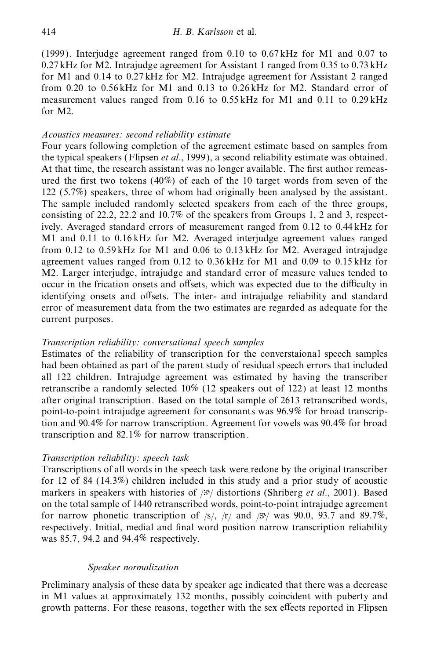(1999). Interjudge agreement ranged from 0.10 to 0.67 kHz for M1 and 0.07 to 0.27 kHz for M2. Intrajudge agreement for Assistant 1 ranged from 0.35 to 0.73 kHz for M1 and 0.14 to 0.27 kHz for M2. Intrajudge agreement for Assistant 2 ranged from 0.20 to 0.56 kHz for M1 and 0.13 to 0.26 kHz for M2. Standard error of measurement values ranged from 0.16 to 0.55 kHz for M1 and 0.11 to 0.29 kHz for M2.

# *Acoustics measures: second reliability estimate*

Four years following completion of the agreement estimate based on samples from the typical speakers (Flipsen *et al*., 1999), a second reliability estimate was obtained. At that time, the research assistant was no longer available. The first author remeasured the first two tokens (40%) of each of the 10 target words from seven of the 122 (5.7%) speakers, three of whom had originally been analysed by the assistant. The sample included randomly selected speakers from each of the three groups, consisting of 22.2, 22.2 and 10.7% of the speakers from Groups 1, 2 and 3, respectively. Averaged standard errors of measurement ranged from 0.12 to 0.44 kHz for M1 and 0.11 to 0.16 kHz for M2. Averaged interjudge agreement values ranged from 0.12 to 0.59 kHz for M1 and 0.06 to 0.13 kHz for M2. Averaged intrajudge agreement values ranged from 0.12 to 0.36 kHz for M1 and 0.09 to 0.15 kHz for M2. Larger interjudge, intrajudge and standard error of measure values tended to occur in the frication onsets and offsets, which was expected due to the difficulty in identifying onsets and offsets. The inter- and intrajudge reliability and standard error of measurement data from the two estimates are regarded as adequate for the current purposes.

# *Transcription reliability: conversational speech samples*

Estimates of the reliability of transcription for the converstaional speech samples had been obtained as part of the parent study of residual speech errors that included all 122 children. Intrajudge agreement was estimated by having the transcriber retranscribe a randomly selected 10% (12 speakers out of 122) at least 12 months after original transcription. Based on the total sample of 2613 retranscribed words, point-to-point intrajudge agreement for consonants was 96.9% for broad transcription and 90.4% for narrow transcription. Agreement for vowels was 90.4% for broad transcription and 82.1% for narrow transcription.

## *Transcription reliability: speech task*

Transcriptions of all words in the speech task were redone by the original transcriber for 12 of 84 (14.3%) children included in this study and a prior study of acoustic markers in speakers with histories of / $3\frac{1}{2}$  distortions (Shriberg *et al.*, 2001). Based on the total sample of 1440 retranscribed words, point-to-point intrajudge agreement for narrow phonetic transcription of  $\frac{s}{r}$  /r/ and  $\frac{3s}{\sqrt{2}}$  was 90.0, 93.7 and 89.7%, respectively. Initial, medial and final word position narrow transcription reliability was 85.7, 94.2 and 94.4% respectively.

## *Speaker normalization*

Preliminary analysis of these data by speaker age indicated that there was a decrease in M1 values at approximately 132 months, possibly coincident with puberty and growth patterns. For these reasons, together with the sex effects reported in Flipsen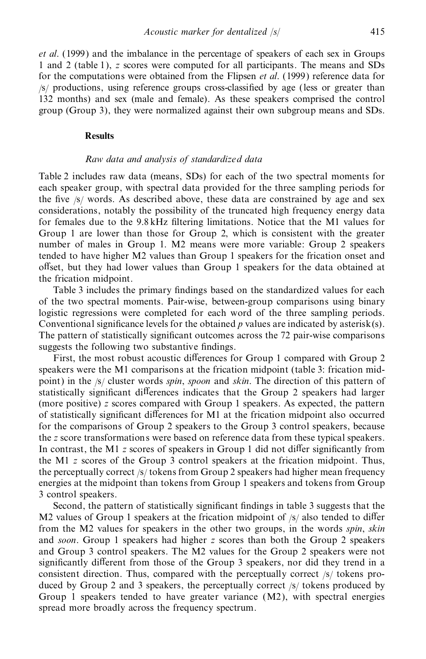*et al*. (1999) and the imbalance in the percentage of speakers of each sex in Groups 1 and 2 (table 1), *z* scores were computed for all participants. The means and SDs for the computations were obtained from the Flipsen *et al*. (1999) reference data for  $\sqrt{s}$  productions, using reference groups cross-classified by age (less or greater than 132 months) and sex (male and female). As these speakers comprised the control group (Group 3), they were normalized against their own subgroup means and SDs.

## **Results**

## *Raw data and analysis of standardized data*

Table 2 includes raw data (means, SDs) for each of the two spectral moments for each speaker group, with spectral data provided for the three sampling periods for the five  $/s$  words. As described above, these data are constrained by age and sex considerations, notably the possibility of the truncated high frequency energy data for females due to the  $9.8$  kHz filtering limitations. Notice that the M1 values for Group 1 are lower than those for Group 2, which is consistent with the greater number of males in Group 1. M2 means were more variable: Group 2 speakers tended to have higher M2 values than Group 1 speakers for the frication onset and offset, but they had lower values than Group 1 speakers for the data obtained at the frication midpoint.

Table 3 includes the primary findings based on the standardized values for each of the two spectral moments. Pair-wise, between-group comparisons using binary logistic regressions were completed for each word of the three sampling periods. Conventional significance levels for the obtained  $p$  values are indicated by asterisk(s). The pattern of statistically significant outcomes across the 72 pair-wise comparisons suggests the following two substantive findings.

First, the most robust acoustic differences for Group 1 compared with Group 2 speakers were the M1 comparisons at the frication midpoint (table 3: frication mid point) in the /s/ cluster words *spin*, *spoon* and *skin*. The direction of this pattern of statistically significant differences indicates that the Group 2 speakers had larger (more positive) *z* scores compared with Group 1 speakers. As expected, the pattern of statistically significant differences for M1 at the frication midpoint also occurred for the comparisons of Group 2 speakers to the Group 3 control speakers, because the *z* score transformations were based on reference data from these typical speakers. In contrast, the M1 *z* scores of speakers in Group 1 did not differ significantly from the M1 *z* scores of the Group 3 control speakers at the frication midpoint. Thus, the perceptually correct /s/ tokens from Group 2 speakers had higher mean frequency energies at the midpoint than tokens from Group 1 speakers and tokens from Group 3 control speakers.

Second, the pattern of statistically significant findings in table 3 suggests that the M2 values of Group 1 speakers at the frication midpoint of  $/s/$  also tended to differ from the M2 values for speakers in the other two groups, in the words *spin*, *skin* and *soon*. Group 1 speakers had higher *z* scores than both the Group 2 speakers and Group 3 control speakers. The M2 values for the Group 2 speakers were not significantly different from those of the Group 3 speakers, nor did they trend in a consistent direction. Thus, compared with the perceptually correct /s/ tokens produced by Group 2 and 3 speakers, the perceptually correct /s/ tokens produced by Group 1 speakers tended to have greater variance  $(M2)$ , with spectral energies spread more broadly across the frequency spectrum.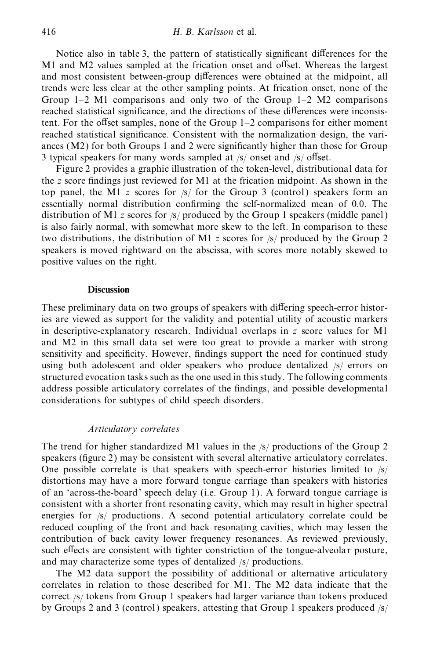Notice also in table 3, the pattern of statistically significant differences for the M1 and M2 values sampled at the frication onset and offset. Whereas the largest and most consistent between-group differences were obtained at the midpoint, all trends were less clear at the other sampling points. At frication onset, none of the Group 1–2 M1 comparisons and only two of the Group 1–2 M2 comparisons reached statistical significance, and the directions of these differences were inconsistent. For the offset samples, none of the Group  $1-2$  comparisons for either moment reached statistical significance. Consistent with the normalization design, the variances  $(M2)$  for both Groups 1 and 2 were significantly higher than those for Group 3 typical speakers for many words sampled at  $/s$  onset and  $/s$  offset.

Figure 2 provides a graphic illustration of the token-level, distributional data for the *z* score findings just reviewed for M1 at the frication midpoint. As shown in the top panel, the M1 *z* scores for /s/ for the Group 3 (control) speakers form an essentially normal distribution confirming the self-normalized mean of 0.0. The distribution of M1 *z* scores for /s/ produced by the Group 1 speakers (middle panel) is also fairly normal, with somewhat more skew to the left. In comparison to these two distributions, the distribution of M1 *z* scores for /s/ produced by the Group 2 speakers is moved rightward on the abscissa, with scores more notably skewed to positive values on the right.

## **Discussion**

These preliminary data on two groups of speakers with differing speech-error histories are viewed as support for the validity and potential utility of acoustic markers in descriptive-explanator y research. Individual overlaps in *z* score values for M1 and M2 in this small data set were too great to provide a marker with strong sensitivity and specificity. However, findings support the need for continued study using both adolescent and older speakers who produce dentalized /s/ errors on structured evocation tasks such as the one used in this study. The following comments address possible articulatory correlates of the findings, and possible developmental considerations for subtypes of child speech disorders.

# *Articulatory correlates*

The trend for higher standardized M1 values in the /s/ productions of the Group 2 speakers (figure 2) may be consistent with several alternative articulatory correlates. One possible correlate is that speakers with speech-error histories limited to  $\frac{s}{s}$ distortions may have a more forward tongue carriage than speakers with histories of an 'across-the-board' speech delay (i.e. Group 1). A forward tongue carriage is consistent with a shorter front resonating cavity, which may result in higher spectral energies for /s/ productions. A second potential articulatory correlate could be reduced coupling of the front and back resonating cavities, which may lessen the contribution of back cavity lower frequency resonances. As reviewed previously, such effects are consistent with tighter constriction of the tongue-alveolar posture, and may characterize some types of dentalized /s/ productions.

The M2 data support the possibility of additional or alternative articulatory correlates in relation to those described for M1. The M2 data indicate that the correct /s/ tokens from Group 1 speakers had larger variance than tokens produced by Groups 2 and 3 (control) speakers, attesting that Group 1 speakers produced /s/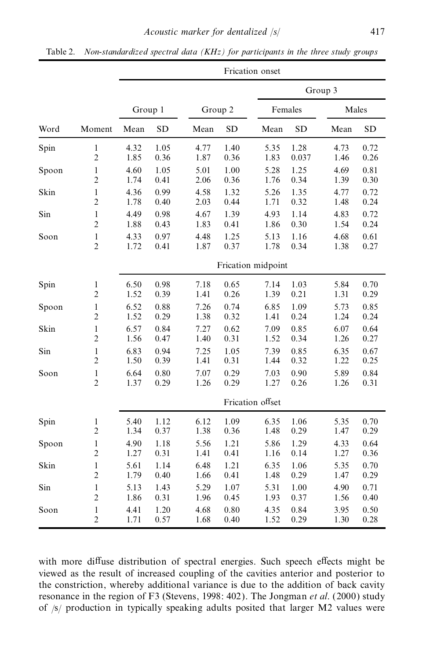|       |                |         |           |         |           | Frication onset    |           |         |           |
|-------|----------------|---------|-----------|---------|-----------|--------------------|-----------|---------|-----------|
|       |                |         |           |         |           |                    |           | Group 3 |           |
|       |                | Group 1 |           | Group 2 |           | Females            |           | Males   |           |
| Word  | Moment         | Mean    | <b>SD</b> | Mean    | <b>SD</b> | Mean               | <b>SD</b> | Mean    | <b>SD</b> |
| Spin  | $\mathbf{1}$   | 4.32    | 1.05      | 4.77    | 1.40      | 5.35               | 1.28      | 4.73    | 0.72      |
|       | $\overline{c}$ | 1.85    | 0.36      | 1.87    | 0.36      | 1.83               | 0.037     | 1.46    | 0.26      |
| Spoon | $\mathbf{1}$   | 4.60    | 1.05      | 5.01    | 1.00      | 5.28               | 1.25      | 4.69    | 0.81      |
|       | $\overline{c}$ | 1.74    | 0.41      | 2.06    | 0.36      | 1.76               | 0.34      | 1.39    | 0.30      |
| Skin  | $\mathbf{1}$   | 4.36    | 0.99      | 4.58    | 1.32      | 5.26               | 1.35      | 4.77    | 0.72      |
|       | $\overline{c}$ | 1.78    | 0.40      | 2.03    | 0.44      | 1.71               | 0.32      | 1.48    | 0.24      |
| Sin   | $\,1$          | 4.49    | 0.98      | 4.67    | 1.39      | 4.93               | 1.14      | 4.83    | 0.72      |
|       | $\overline{c}$ | 1.88    | 0.43      | 1.83    | 0.41      | 1.86               | 0.30      | 1.54    | 0.24      |
| Soon  | $\,1$          | 4.33    | 0.97      | 4.48    | 1.25      | 5.13               | 1.16      | 4.68    | 0.61      |
|       | $\overline{2}$ | 1.72    | 0.41      | 1.87    | 0.37      | 1.78               | 0.34      | 1.38    | 0.27      |
|       |                |         |           |         |           | Frication midpoint |           |         |           |
| Spin  | $\mathbf{1}$   | 6.50    | 0.98      | 7.18    | 0.65      | 7.14               | 1.03      | 5.84    | 0.70      |
|       | $\overline{c}$ | 1.52    | 0.39      | 1.41    | 0.26      | 1.39               | 0.21      | 1.31    | 0.29      |
| Spoon | $\mathbf{1}$   | 6.52    | 0.88      | 7.26    | 0.74      | 6.85               | 1.09      | 5.73    | 0.85      |
|       | $\overline{c}$ | 1.52    | 0.29      | 1.38    | 0.32      | 1.41               | 0.24      | 1.24    | 0.24      |
| Skin  | $\mathbf{1}$   | 6.57    | 0.84      | 7.27    | 0.62      | 7.09               | 0.85      | 6.07    | 0.64      |
|       | $\overline{c}$ | 1.56    | 0.47      | 1.40    | 0.31      | 1.52               | 0.34      | 1.26    | 0.27      |
| Sin   | $\mathbf{1}$   | 6.83    | 0.94      | 7.25    | 1.05      | 7.39               | 0.85      | 6.35    | 0.67      |
|       | $\overline{c}$ | 1.50    | 0.39      | 1.41    | 0.31      | 1.44               | 0.32      | 1.22    | 0.25      |
| Soon  | $\mathbf{1}$   | 6.64    | 0.80      | 7.07    | 0.29      | 7.03               | 0.90      | 5.89    | 0.84      |
|       | $\overline{c}$ | 1.37    | 0.29      | 1.26    | 0.29      | 1.27               | 0.26      | 1.26    | 0.31      |
|       |                |         |           |         |           | Frication offset   |           |         |           |
| Spin  | $\,1$          | 5.40    | 1.12      | 6.12    | 1.09      | 6.35               | 1.06      | 5.35    | 0.70      |
|       | $\overline{c}$ | 1.34    | 0.37      | 1.38    | 0.36      | 1.48               | 0.29      | 1.47    | 0.29      |
| Spoon | $\mathbf{1}$   | 4.90    | 1.18      | 5.56    | 1.21      | 5.86               | 1.29      | 4.33    | 0.64      |
|       | $\overline{c}$ | 1.27    | 0.31      | 1.41    | 0.41      | 1.16               | 0.14      | 1.27    | 0.36      |
| Skin  | $\mathbf{1}$   | 5.61    | 1.14      | 6.48    | 1.21      | 6.35               | 1.06      | 5.35    | 0.70      |
|       | $\overline{c}$ | 1.79    | 0.40      | 1.66    | 0.41      | 1.48               | 0.29      | 1.47    | 0.29      |
| Sin   | $\mathbf{1}$   | 5.13    | 1.43      | 5.29    | 1.07      | 5.31               | 1.00      | 4.90    | 0.71      |
|       | $\overline{c}$ | 1.86    | 0.31      | 1.96    | 0.45      | 1.93               | 0.37      | 1.56    | 0.40      |
| Soon  | $\mathbf{1}$   | 4.41    | 1.20      | 4.68    | 0.80      | 4.35               | 0.84      | 3.95    | 0.50      |
|       | $\overline{c}$ | 1.71    | 0.57      | 1.68    | 0.40      | 1.52               | 0.29      | 1.30    | 0.28      |

Table 2. *Non-standardized spectral data (KHz) for participants in the three study groups*

with more diffuse distribution of spectral energies. Such speech effects might be viewed as the result of increased coupling of the cavities anterior and posterior to the constriction, whereby additional variance is due to the addition of back cavity resonance in the region of F3 (Stevens, 1998: 402). The Jongman *et al*. (2000) study of /s/ production in typically speaking adults posited that larger M2 values were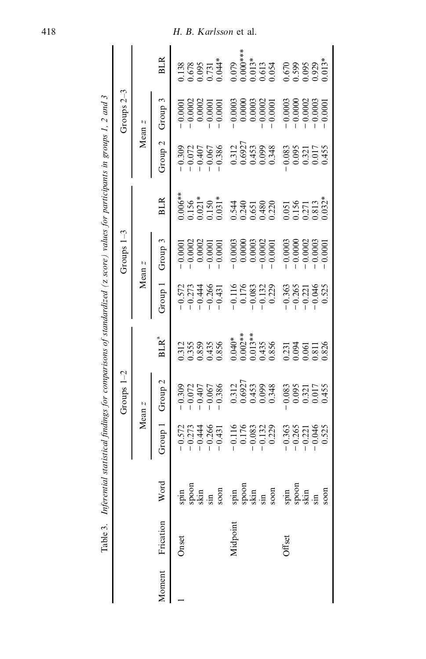|        |           | Table 3. Inferential                                                                                                                                                                                                                                                                                                                                                                                                                                                                      | statistical findings for comparisons of standardized (z score) values for participants in groups 1, 2 and 3 |                                                                           |                                                           |                                 |                                   |                                                                   |                                                                           |                                     |                                                                               |
|--------|-----------|-------------------------------------------------------------------------------------------------------------------------------------------------------------------------------------------------------------------------------------------------------------------------------------------------------------------------------------------------------------------------------------------------------------------------------------------------------------------------------------------|-------------------------------------------------------------------------------------------------------------|---------------------------------------------------------------------------|-----------------------------------------------------------|---------------------------------|-----------------------------------|-------------------------------------------------------------------|---------------------------------------------------------------------------|-------------------------------------|-------------------------------------------------------------------------------|
|        |           |                                                                                                                                                                                                                                                                                                                                                                                                                                                                                           |                                                                                                             | Groups $1-2$                                                              |                                                           |                                 | Groups $1-3$                      |                                                                   |                                                                           | Groups 2-3                          |                                                                               |
|        |           |                                                                                                                                                                                                                                                                                                                                                                                                                                                                                           |                                                                                                             | Mean z                                                                    |                                                           |                                 | Mean z                            |                                                                   |                                                                           | Mean z                              |                                                                               |
| Moment | Frication | Word                                                                                                                                                                                                                                                                                                                                                                                                                                                                                      | Group :                                                                                                     | Group <sub>2</sub>                                                        | $BLR^4$                                                   | Group 1                         | Group 3                           | <b>BLR</b>                                                        | Group <sub>2</sub>                                                        | Group 3                             | <b>BLR</b>                                                                    |
|        | Onset     |                                                                                                                                                                                                                                                                                                                                                                                                                                                                                           |                                                                                                             |                                                                           |                                                           |                                 | $-0.0001$                         | $0.006**$                                                         | $-0.309$<br>$-0.072$                                                      |                                     | 1.138                                                                         |
|        |           |                                                                                                                                                                                                                                                                                                                                                                                                                                                                                           | $-0.572$<br>$-0.273$<br>$-0.444$                                                                            |                                                                           |                                                           | $-0.572$<br>$-0.273$            | $-0.0002$                         |                                                                   |                                                                           | $-0.0001$<br>$-0.0002$<br>$0.0002$  |                                                                               |
|        |           |                                                                                                                                                                                                                                                                                                                                                                                                                                                                                           |                                                                                                             | $-0.309$<br>$-0.072$<br>$-0.407$<br>$-0.067$<br>$-0.386$                  | 0.312<br>0.355<br>0.435<br>0.856                          | $-0.444$                        | 0.0002                            | $\begin{array}{c} 0.156 \\ 0.021* \\ 0.150 \\ 0.031* \end{array}$ | $-0.407$                                                                  |                                     | 0.678<br>0.095<br>0.731<br>0.044*                                             |
|        |           |                                                                                                                                                                                                                                                                                                                                                                                                                                                                                           | $-0.266$                                                                                                    |                                                                           |                                                           | $-0.266$                        | $-0.0001$                         |                                                                   | $-0.067$                                                                  | $-0.0001$                           |                                                                               |
|        |           | $\begin{array}{l} \mathfrak{spin} \\ \mathfrak{so} \\ \mathfrak{so} \\ \mathfrak{so} \\ \mathfrak{so} \\ \mathfrak{so} \\ \mathfrak{so} \\ \mathfrak{so} \\ \mathfrak{so} \\ \mathfrak{so} \\ \mathfrak{so} \\ \mathfrak{so} \\ \mathfrak{so} \\ \mathfrak{so} \\ \mathfrak{so} \\ \mathfrak{so} \\ \mathfrak{so} \\ \mathfrak{so} \\ \mathfrak{so} \\ \mathfrak{so} \\ \mathfrak{so} \\ \mathfrak{so} \\ \mathfrak{so} \\ \mathfrak{so} \\ \mathfrak{so} \\ \mathfrak{so} \\ \mathfrak{$ | $-0.431$                                                                                                    |                                                                           |                                                           | $-0.431$                        | $-0.0001$                         |                                                                   | $-0.386$                                                                  | $-0.0001$                           |                                                                               |
|        | Midpoint  |                                                                                                                                                                                                                                                                                                                                                                                                                                                                                           |                                                                                                             |                                                                           |                                                           | 0.116                           |                                   |                                                                   |                                                                           | $-0.0003$                           |                                                                               |
|        |           |                                                                                                                                                                                                                                                                                                                                                                                                                                                                                           | $\begin{array}{r} -0.116 \\ -0.176 \\ -0.083 \\ -0.132 \\ -0.132 \end{array}$                               | $\begin{array}{c} 0.312 \\ 0.6927 \\ 0.453 \\ 0.099 \\ 0.348 \end{array}$ | $0.040**$<br>$0.002**$<br>$0.013**$<br>$0.435$<br>$0.435$ | 0.176                           | $-0.0003$<br>$0.0000$<br>$0.0003$ | 0.548<br>0.248<br>0.480<br>0.480                                  | $\begin{array}{c} 0.312 \\ 0.6927 \\ 0.453 \\ 0.099 \\ 0.348 \end{array}$ | $0.0000$<br>$0.0003$                |                                                                               |
|        |           |                                                                                                                                                                                                                                                                                                                                                                                                                                                                                           |                                                                                                             |                                                                           |                                                           | $-0.083$                        |                                   |                                                                   |                                                                           |                                     |                                                                               |
|        |           |                                                                                                                                                                                                                                                                                                                                                                                                                                                                                           |                                                                                                             |                                                                           |                                                           | $-0.132$<br>0.229               | $-0.0002$                         |                                                                   |                                                                           | $-0.0002$<br>$-0.0001$              |                                                                               |
|        |           |                                                                                                                                                                                                                                                                                                                                                                                                                                                                                           |                                                                                                             |                                                                           |                                                           |                                 | $-0.0001$                         |                                                                   |                                                                           |                                     | $\begin{array}{c} 0.079 \\ 0.000*** \\ 0.0013* \\ 0.613 \\ 0.613 \end{array}$ |
|        | Offset    |                                                                                                                                                                                                                                                                                                                                                                                                                                                                                           | 0.363                                                                                                       | 0.083                                                                     |                                                           | 0.363                           | $-0.0003$                         |                                                                   | 0.083                                                                     | $-0.0003$                           | 1670<br>0.599<br>0.095                                                        |
|        |           |                                                                                                                                                                                                                                                                                                                                                                                                                                                                                           | $-0.265$                                                                                                    | 0.095                                                                     | 0.231<br>0.094                                            | 0.265                           | 0.0000                            |                                                                   | 0.095                                                                     | $-0.0000$                           |                                                                               |
|        |           |                                                                                                                                                                                                                                                                                                                                                                                                                                                                                           | $-0.221$<br>$-0.046$<br>0.525                                                                               | 0.321<br>0.017<br>0.455                                                   | 0.061<br>0.811<br>0.826                                   | $-0.221$<br>$-0.046$<br>$0.525$ | $-0.0002$<br>$-0.0003$            | 0.051<br>0.156<br>0.271<br>0.813                                  | 0.321<br>0.017<br>0.455                                                   | $-0.0002$<br>$-0.0003$<br>$-0.0001$ |                                                                               |
|        |           |                                                                                                                                                                                                                                                                                                                                                                                                                                                                                           |                                                                                                             |                                                                           |                                                           |                                 |                                   |                                                                   |                                                                           |                                     |                                                                               |
|        |           | soon                                                                                                                                                                                                                                                                                                                                                                                                                                                                                      |                                                                                                             |                                                                           |                                                           |                                 | 0.0001                            | $0.032*$                                                          |                                                                           |                                     | $0.013*$                                                                      |
|        |           |                                                                                                                                                                                                                                                                                                                                                                                                                                                                                           |                                                                                                             |                                                                           |                                                           |                                 |                                   |                                                                   |                                                                           |                                     |                                                                               |

 $\overline{1}$  $\tilde{e}$ .<br>نه J. J.  $\ddot{ }$  $\ddot{\cdot}$  $\ddot{\phantom{1}}$  $\ddot{\phantom{0}}$  $\mathcal{L}$  $\zeta$  $\ddot{\phantom{0}}$  $\ddot{\phantom{0}}$ - s  $\epsilon$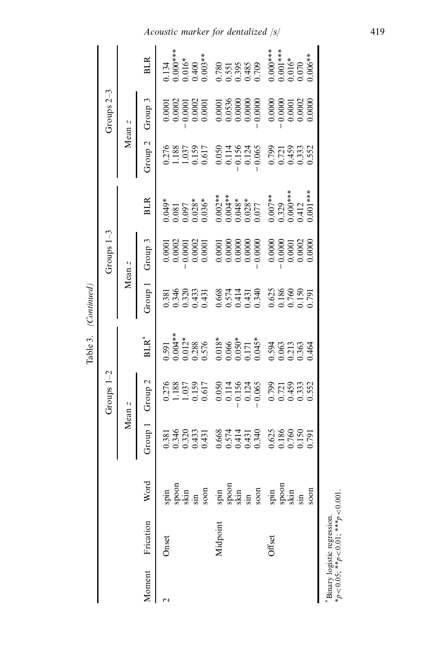|        |                             |                                                                                                                                                                                                                                                                                                                                                                                                                      |                                             |                                                                                                                           | Table 3. (Continued) |                                                            |                                                                                                                                                                                                                                                                   |                                                                                                                                                                                                                                                |                                                                                                                 |                                                                                |                                                                                                                                                    |
|--------|-----------------------------|----------------------------------------------------------------------------------------------------------------------------------------------------------------------------------------------------------------------------------------------------------------------------------------------------------------------------------------------------------------------------------------------------------------------|---------------------------------------------|---------------------------------------------------------------------------------------------------------------------------|----------------------|------------------------------------------------------------|-------------------------------------------------------------------------------------------------------------------------------------------------------------------------------------------------------------------------------------------------------------------|------------------------------------------------------------------------------------------------------------------------------------------------------------------------------------------------------------------------------------------------|-----------------------------------------------------------------------------------------------------------------|--------------------------------------------------------------------------------|----------------------------------------------------------------------------------------------------------------------------------------------------|
|        |                             |                                                                                                                                                                                                                                                                                                                                                                                                                      |                                             | Groups $1-2$                                                                                                              |                      |                                                            | Groups $1-3$                                                                                                                                                                                                                                                      |                                                                                                                                                                                                                                                |                                                                                                                 | Groups $2-3$                                                                   |                                                                                                                                                    |
|        |                             |                                                                                                                                                                                                                                                                                                                                                                                                                      |                                             | Mean $\it z$                                                                                                              |                      |                                                            | Mean z                                                                                                                                                                                                                                                            |                                                                                                                                                                                                                                                |                                                                                                                 | Mean z                                                                         |                                                                                                                                                    |
| Moment | Frication                   | Word                                                                                                                                                                                                                                                                                                                                                                                                                 | Group                                       | Group <sub>2</sub>                                                                                                        | BLR <sup>a</sup>     | Group 1                                                    | Group 3                                                                                                                                                                                                                                                           | <b>BLR</b>                                                                                                                                                                                                                                     | Group <sub>2</sub>                                                                                              | Group 3                                                                        | <b>BLR</b>                                                                                                                                         |
|        | Onset                       |                                                                                                                                                                                                                                                                                                                                                                                                                      | 0.381<br>0.346<br>0.433<br>0.433            |                                                                                                                           |                      | 1381<br>1346<br>1.320<br>1.431                             | $\begin{array}{l} 0.0001 \\ 0.0002 \\ 0.0001 \\ 0.0002 \\ 0.0001 \\ 0.0001 \end{array}$                                                                                                                                                                           |                                                                                                                                                                                                                                                | $\begin{array}{c} 0.276 \\ 1.188 \\ 1.037 \\ 0.159 \\ 0.017 \end{array}$                                        | $0.0001$<br>$0.0001$<br>$0.00001$<br>$0.0001$                                  | 1.134                                                                                                                                              |
|        |                             |                                                                                                                                                                                                                                                                                                                                                                                                                      |                                             |                                                                                                                           |                      |                                                            |                                                                                                                                                                                                                                                                   |                                                                                                                                                                                                                                                |                                                                                                                 |                                                                                |                                                                                                                                                    |
|        |                             |                                                                                                                                                                                                                                                                                                                                                                                                                      |                                             |                                                                                                                           |                      |                                                            |                                                                                                                                                                                                                                                                   |                                                                                                                                                                                                                                                |                                                                                                                 |                                                                                |                                                                                                                                                    |
|        |                             |                                                                                                                                                                                                                                                                                                                                                                                                                      |                                             |                                                                                                                           |                      |                                                            |                                                                                                                                                                                                                                                                   |                                                                                                                                                                                                                                                |                                                                                                                 |                                                                                |                                                                                                                                                    |
|        |                             |                                                                                                                                                                                                                                                                                                                                                                                                                      |                                             | 0.276<br>1.188<br>1.037<br>0.159<br>0.617                                                                                 |                      |                                                            |                                                                                                                                                                                                                                                                   |                                                                                                                                                                                                                                                |                                                                                                                 |                                                                                |                                                                                                                                                    |
|        | Midpoint                    |                                                                                                                                                                                                                                                                                                                                                                                                                      |                                             |                                                                                                                           |                      |                                                            |                                                                                                                                                                                                                                                                   |                                                                                                                                                                                                                                                |                                                                                                                 |                                                                                |                                                                                                                                                    |
|        |                             |                                                                                                                                                                                                                                                                                                                                                                                                                      |                                             |                                                                                                                           |                      |                                                            |                                                                                                                                                                                                                                                                   |                                                                                                                                                                                                                                                |                                                                                                                 |                                                                                |                                                                                                                                                    |
|        |                             |                                                                                                                                                                                                                                                                                                                                                                                                                      |                                             |                                                                                                                           |                      |                                                            |                                                                                                                                                                                                                                                                   |                                                                                                                                                                                                                                                |                                                                                                                 |                                                                                |                                                                                                                                                    |
|        |                             |                                                                                                                                                                                                                                                                                                                                                                                                                      |                                             |                                                                                                                           |                      |                                                            |                                                                                                                                                                                                                                                                   |                                                                                                                                                                                                                                                |                                                                                                                 |                                                                                |                                                                                                                                                    |
|        |                             |                                                                                                                                                                                                                                                                                                                                                                                                                      | $0.668$<br>0.574<br>0.414<br>0.431<br>0.340 |                                                                                                                           |                      |                                                            |                                                                                                                                                                                                                                                                   |                                                                                                                                                                                                                                                |                                                                                                                 | $0.0001$<br>$0.0536$<br>$0.0000$<br>$0.0000$<br>$0.0000$                       |                                                                                                                                                    |
|        | Offset                      | $\begin{array}{l} \mathfrak{sp}^{2} \mathfrak{so}^{2} \mathfrak{so}^{2} \mathfrak{so}^{2} \mathfrak{so}^{2} \mathfrak{so}^{2} \mathfrak{so}^{2} \mathfrak{so}^{2} \mathfrak{so}^{2} \mathfrak{so}^{2} \mathfrak{so}^{2} \mathfrak{so}^{2} \mathfrak{so}^{2} \mathfrak{so}^{2} \mathfrak{so}^{2} \mathfrak{so}^{2} \mathfrak{so}^{2} \mathfrak{so}^{2} \mathfrak{so}^{2} \mathfrak{so}^{2} \mathfrak{so}^{2} \mathfr$ | 0.625<br>0.186<br>0.150<br>0.791            | $\begin{array}{c} 0.050 \\ 0.114 \\ 0.156 \\ 0.124 \\ 0.065 \\ 0.799 \\ 0.074 \\ 0.0333 \\ 0.552 \\ 0.050 \\ \end{array}$ |                      | 668<br>0.574<br>0.41319<br>0.625 600 600<br>0.791<br>0.791 | $\begin{array}{l} 0.0001\\ 0.0000\\ 0.0000\\ 0.0000\\ 0.0000\\ 0.0000\\ 0.0000\\ 0.0000\\ 0.0000\\ 0.0000\\ 0.0000\\ 0.0000\\ 0.0000\\ 0.0000\\ 0.0000\\ 0.0000\\ 0.0000\\ 0.0000\\ 0.0000\\ 0.0000\\ 0.0000\\ 0.0000\\ 0.0000\\ 0.0000\\ 0.0000\\ 0.0000\\ 0.00$ | $\begin{array}{cccccccc} 0.045* & 0.00000& 0.00000& 0.0000& 0.0000& 0.0000& 0.0000& 0.0000& 0.0000& 0.0000& 0.0000& 0.0000& 0.0000& 0.0000& 0.0000& 0.0000& 0.0000& 0.0000& 0.0000& 0.000& 0.000& 0.000& 0.000& 0.000& 0.000& 0.000& 0.000& 0$ | $\begin{array}{r} 0.050 \\ 0.114 \\ 0.156 \\ 0.124 \\ 0.065 \\ 0.799 \\ 0.043 \\ 0.353 \\ 0.552 \\ \end{array}$ | $\begin{array}{r} 0.0000 \\ -0.0000 \\ 0.0001 \\ 0.0002 \\ 0.0000 \end{array}$ | $0.000***$<br>$0.016*$<br>$0.016*$<br>$0.003**$<br>$0.003**$<br>$0.551$<br>$0.395$<br>$0.000**$<br>$0.000**$<br>$0.000**$<br>$0.000**$<br>$0.000*$ |
|        |                             |                                                                                                                                                                                                                                                                                                                                                                                                                      |                                             |                                                                                                                           |                      |                                                            |                                                                                                                                                                                                                                                                   |                                                                                                                                                                                                                                                |                                                                                                                 |                                                                                |                                                                                                                                                    |
|        |                             |                                                                                                                                                                                                                                                                                                                                                                                                                      |                                             |                                                                                                                           |                      |                                                            |                                                                                                                                                                                                                                                                   |                                                                                                                                                                                                                                                |                                                                                                                 |                                                                                |                                                                                                                                                    |
|        |                             |                                                                                                                                                                                                                                                                                                                                                                                                                      |                                             |                                                                                                                           |                      |                                                            |                                                                                                                                                                                                                                                                   |                                                                                                                                                                                                                                                |                                                                                                                 |                                                                                |                                                                                                                                                    |
|        |                             | soon                                                                                                                                                                                                                                                                                                                                                                                                                 |                                             |                                                                                                                           |                      |                                                            |                                                                                                                                                                                                                                                                   |                                                                                                                                                                                                                                                |                                                                                                                 |                                                                                |                                                                                                                                                    |
|        | Binary logistic regression. |                                                                                                                                                                                                                                                                                                                                                                                                                      |                                             |                                                                                                                           |                      |                                                            |                                                                                                                                                                                                                                                                   |                                                                                                                                                                                                                                                |                                                                                                                 |                                                                                |                                                                                                                                                    |

*Acoustic marker for dentalize d* /*s*/ 419

<sup>&</sup>lt;sup>a</sup>Binary logistic regression.<br> $*_p \sim 0.05$ ;  $*_p < 0.01$ ;  $***_p < 0.001$ .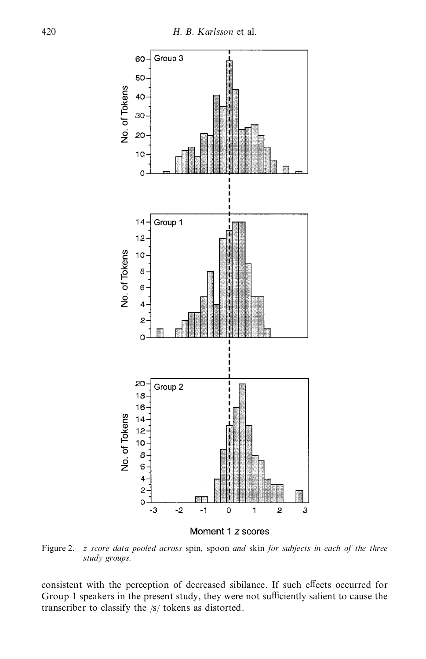

Moment 1 z scores

Figure 2. *z score data pooled across* spin*,* spoon *and* skin *for subjects in each of the three study groups.*

consistent with the perception of decreased sibilance. If such effects occurred for Group 1 speakers in the present study, they were not sufficiently salient to cause the transcriber to classify the /s/ tokens as distorted.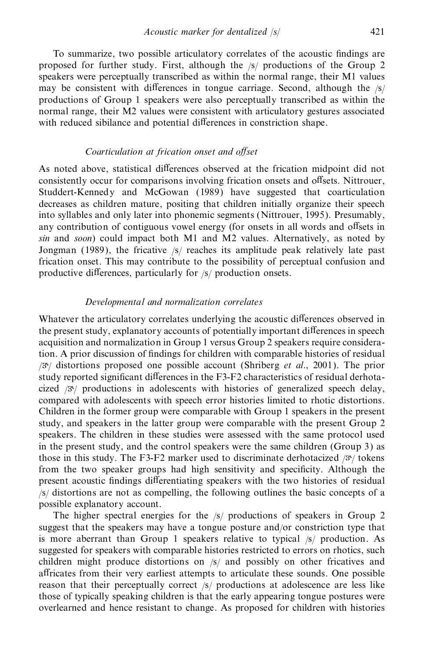To summarize, two possible articulatory correlates of the acoustic findings are proposed for further study. First, although the /s/ productions of the Group 2 speakers were perceptually transcribed as within the normal range, their M1 values may be consistent with differences in tongue carriage. Second, although the  $\frac{s}{ }$ productions of Group 1 speakers were also perceptually transcribed as within the normal range, their M2 values were consistent with articulatory gestures associated with reduced sibilance and potential differences in constriction shape.

## *Coarticulation at frication onset and oVset*

As noted above, statistical differences observed at the frication midpoint did not consistently occur for comparisons involving frication onsets and offsets. Nittrouer, Studdert-Kennedy and McGowan (1989) have suggested that coarticulation decreases as children mature, positing that children initially organize their speech into syllables and only later into phonemic segments (Nittrouer, 1995). Presumably, any contribution of contiguous vowel energy (for onsets in all words and offsets in *sin* and *soon*) could impact both M1 and M2 values. Alternatively, as noted by Jongman (1989), the fricative /s/ reaches its amplitude peak relatively late past frication onset. This may contribute to the possibility of perceptual confusion and productive differences, particularly for /s/ production onsets.

## *Developmental and normalization correlates*

Whatever the articulatory correlates underlying the acoustic differences observed in the present study, explanatory accounts of potentially important differences in speech acquisition and normalization in Group 1 versus Group 2 speakers require consideration. A prior discussion of ndings for children with comparable histories of residual / / distortions proposed one possible account (Shriberg *et al*., 2001). The prior study reported significant differences in the F3-F2 characteristics of residual derhotacized  $\beta$ <sup>y</sup>/ productions in adolescents with histories of generalized speech delay, compared with adolescents with speech error histories limited to rhotic distortions. Children in the former group were comparable with Group 1 speakers in the present study, and speakers in the latter group were comparable with the present Group 2 speakers. The children in these studies were assessed with the same protocol used in the present study, and the control speakers were the same children (Group 3) as those in this study. The F3-F2 marker used to discriminate derhotacized  $/3$ <sup>t</sup>/ tokens from the two speaker groups had high sensitivity and specificity. Although the present acoustic findings differentiating speakers with the two histories of residual /s/ distortions are not as compelling, the following outlines the basic concepts of a possible explanatory account.

The higher spectral energies for the /s/ productions of speakers in Group 2 suggest that the speakers may have a tongue posture and/or constriction type that is more aberrant than Group 1 speakers relative to typical  $\frac{1}{s}$  production. As suggested for speakers with comparable histories restricted to errors on rhotics, such children might produce distortions on /s/ and possibly on other fricatives and affricates from their very earliest attempts to articulate these sounds. One possible reason that their perceptually correct /s/ productions at adolescence are less like those of typically speaking children is that the early appearing tongue postures were overlearned and hence resistant to change. As proposed for children with histories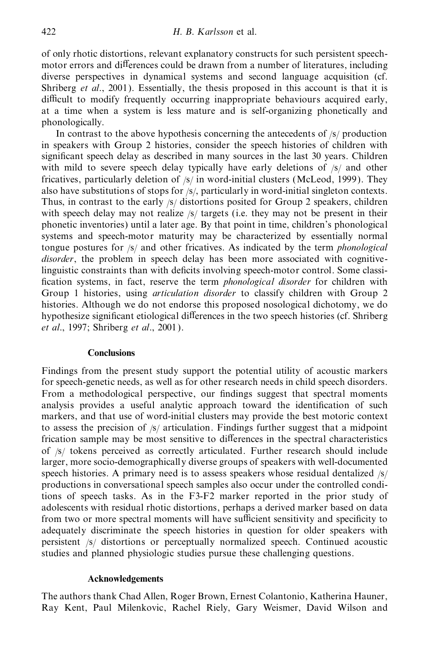of only rhotic distortions, relevant explanatory constructs for such persistent speech motor errors and differences could be drawn from a number of literatures, including diverse perspectives in dynamical systems and second language acquisition (cf. Shriberg *et al*., 2001). Essentially, the thesis proposed in this account is that it is difficult to modify frequently occurring inappropriate behaviours acquired early, at a time when a system is less mature and is self-organizing phonetically and phonologically.

In contrast to the above hypothesis concerning the antecedents of /s/ production in speakers with Group 2 histories, consider the speech histories of children with significant speech delay as described in many sources in the last 30 years. Children with mild to severe speech delay typically have early deletions of  $\frac{s}{a}$  and other fricatives, particularly deletion of /s/ in word-initial clusters (McLeod, 1999). They also have substitutions of stops for /s/, particularly in word-initial singleton contexts. Thus, in contrast to the early /s/ distortions posited for Group 2 speakers, children with speech delay may not realize /s/ targets (i.e. they may not be present in their phonetic inventories) until a later age. By that point in time, children's phonological systems and speech-motor maturity may be characterized by essentially normal tongue postures for /s/ and other fricatives. As indicated by the term *phonological disorder*, the problem in speech delay has been more associated with cognitivelinguistic constraints than with deficits involving speech-motor control. Some classi cation systems, in fact, reserve the term *phonological disorder* for children with Group 1 histories, using *articulation disorder* to classify children with Group 2 histories. Although we do not endorse this proposed nosological dichotomy, we do hypothesize significant etiological differences in the two speech histories (cf. Shriberg *et al*., 1997; Shriberg *et al*., 2001).

#### **Conclusions**

Findings from the present study support the potential utility of acoustic markers for speech-genetic needs, as well as for other research needs in child speech disorders. From a methodological perspective, our findings suggest that spectral moments analysis provides a useful analytic approach toward the identification of such markers, and that use of word-initial clusters may provide the best motoric context to assess the precision of  $\frac{s}{\sqrt{2}}$  articulation. Findings further suggest that a midpoint frication sample may be most sensitive to differences in the spectral characteristics of /s/ tokens perceived as correctly articulated. Further research should include larger, more socio-demographically diverse groups of speakers with well-documented speech histories. A primary need is to assess speakers whose residual dentalized  $\frac{s}{ }$ productions in conversational speech samples also occur under the controlled conditions of speech tasks. As in the F3-F2 marker reported in the prior study of adolescents with residual rhotic distortions, perhaps a derived marker based on data from two or more spectral moments will have sufficient sensitivity and specificity to adequately discriminate the speech histories in question for older speakers with persistent /s/ distortions or perceptually normalized speech. Continued acoustic studies and planned physiologic studies pursue these challenging questions.

#### **Acknowledgements**

The authors thank Chad Allen, Roger Brown, Ernest Colantonio, Katherina Hauner, Ray Kent, Paul Milenkovic, Rachel Riely, Gary Weismer, David Wilson and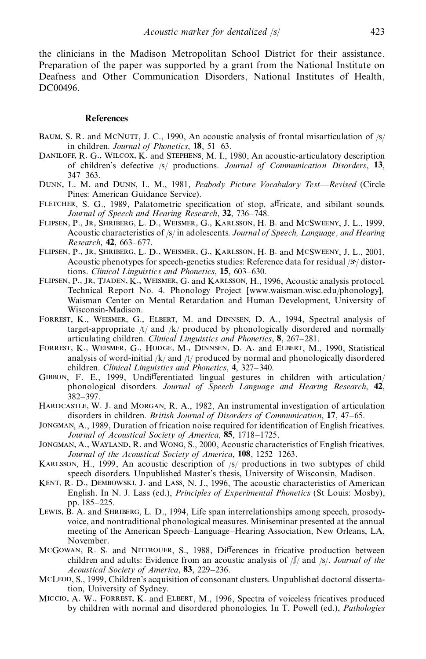the clinicians in the Madison Metropolitan School District for their assistance. Preparation of the paper was supported by a grant from the National Institute on Deafness and Other Communication Disorders, National Institutes of Health, DC00496.

#### **References**

- BAUM, S. R. and MCNUTT, J. C., 1990, An acoustic analysis of frontal misarticulation of  $\frac{s}{2}$ in children. *Journal of Phonetics*, **18**, 51–63.
- DANILOFF, R. G., WILCOX, K. and STEPHENS, M. I., 1980, An acoustic-articulatory description of children's defective /s/ productions. *Journal of Communication Disorders*, **13**, 347–363.
- Dunn, L. M. and Dunn, L. M., 1981, *Peabody Picture Vocabulary Test—Revised* (Circle Pines: American Guidance Service).
- FLETCHER, S. G., 1989, Palatometric specification of stop, affricate, and sibilant sounds. *Journal of Speech and Hearing Research*, **32**, 736–748.
- Flipsen, P., Jr, Shriberg, L. D., Weismer, G., Karlsson, H. B. and McSweeny, J. L., 1999, Acoustic characteristics of /s/ in adolescents. *Journal of Speech, Language , and Hearing Research*, **42**, 663–677.
- Flipsen, P., Jr, Shriberg, L. D., Weismer, G., Karlsson, H. B. and McSweeny, J. L., 2001, Acoustic phenotypes for speech-genetics studies: Reference data for residual  $/3$  $/$  distortions. *Clinical Linguistics and Phonetics*, **15**, 603–630.
- FLIPSEN, P., JR, TJADEN, K., WEISMER, G. and KARLSSON, H., 1996, Acoustic analysis protocol. Technical Report No. 4. Phonology Project [www.waisman.wisc.edu/phonology], Waisman Center on Mental Retardation and Human Development, University of Wisconsin-Madison.
- Forrest, K., Weismer, G., Elbert, M. and Dinnsen, D. A., 1994, Spectral analysis of target-appropriate  $/t/$  and  $/k/$  produced by phonologically disordered and normally articulating children. *Clinical Linguistics and Phonetics*, **8**, 267–281.
- FORREST, K., WEISMER, G., HODGE, M., DINNSEN, D. A. and ELBERT, M., 1990, Statistical analysis of word-initial  $/k$  and  $/t$  produced by normal and phonologically disordered children. *Clinical Linguistics and Phonetics*, **4**, 327–340.
- GIBBON, F. E., 1999, Undifferentiated lingual gestures in children with articulation/ phonological disorders. *Journal of Speech Language and Hearing Research*, **42**, 382–397.
- HARDCASTLE, W. J. and MORGAN, R. A., 1982, An instrumental investigation of articulation disorders in children. *British Journal of Disorders of Communication*, **17**, 47–65.
- JONGMAN, A., 1989, Duration of frication noise required for identification of English fricatives. *Journal of Acoustical Society of America*, **85**, 1718–1725.
- JONGMAN, A., WAYLAND, R. and WONG, S., 2000, Acoustic characteristics of English fricatives. *Journal of the Acoustical Society of America*, **108**, 1252–1263.
- Karlsson, H., 1999, An acoustic description of /s/ productions in two subtypes of child speech disorders. Unpublished Master's thesis, University of Wisconsin, Madison.
- KENT, R. D., DEMBOWSKI, J. and LASS, N. J., 1996, The acoustic characteristics of American English. In N. J. Lass (ed.), *Principles of Experimental Phonetics* (St Louis: Mosby), pp. 185–225.
- Lewis, B. A. and SHRIBERG, L. D., 1994, Life span interrelationships among speech, prosodyvoice, and nontraditional phonological measures. Miniseminar presented at the annual meeting of the American Speech–Language–Hearing Association, New Orleans, LA, November.
- MCGOWAN, R. S. and NITTROUER, S., 1988, Differences in fricative production between children and adults: Evidence from an acoustic analysis of /S/ and /s/. *Journal of the Acoustical Society of America*, **83**, 229–236.
- McLeod, S., 1999, Children's acquisition of consonant clusters. Unpublished doctoral dissertation, University of Sydney.
- Miccio, A. W., Forrest, K. and Elbert, M., 1996, Spectra of voiceless fricatives produced by children with normal and disordered phonologies. In T. Powell (ed.), *Pathologies*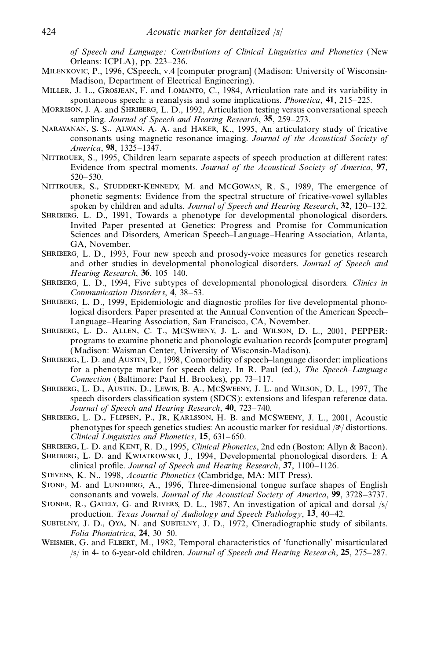*of Speech and Language : Contributions of Clinical Linguistics and Phonetics* (New Orleans: ICPLA), pp. 223–236.

- Milenkovic, P., 1996, CSpeech, v.4 [computer program] (Madison: University of Wisconsin- Madison, Department of Electrical Engineering).
- Miller, J. L., Grosjean, F. and Lomanto, C., 1984, Articulation rate and its variability in spontaneous speech: a reanalysis and some implications. *Phonetica*, **41**, 215–225.
- MORRISON, J. A. and SHRIBERG, L. D., 1992, Articulation testing versus conversational speech sampling. *Journal of Speech and Hearing Research*, **35**, 259–273.
- Narayanan, S. S., Alwan, A. A. and Haker, K., 1995, An articulatory study of fricative consonants using magnetic resonance imaging. *Journal of the Acoustical Society of America*, **98**, 1325–1347.
- NITTROUER, S., 1995, Children learn separate aspects of speech production at different rates: Evidence from spectral moments. *Journal of the Acoustical Society of America*, **97**, 520–530.
- Nittrouer, S., Studdert-Kennedy, M. and McGowan, R. S., 1989, The emergence of phonetic segments: Evidence from the spectral structure of fricative-vowel syllables spoken by children and adults. *Journal of Speech and Hearing Research*, **32**, 120–132.
- Shriberg, L. D., 1991, Towards a phenotype for developmental phonological disorders. Invited Paper presented at Genetics: Progress and Promise for Communication Sciences and Disorders, American Speech–Language–Hearing Association, Atlanta, GA, November.
- SHRIBERG, L. D., 1993, Four new speech and prosody-voice measures for genetics research and other studies in developmental phonological disorders. *Journal of Speech and Hearing Research*, **36**, 105–140.
- Shriberg, L. D., 1994, Five subtypes of developmental phonological disorders. *Clinics in Communication Disorders*, **4**, 38–53.
- SHRIBERG, L. D., 1999, Epidemiologic and diagnostic profiles for five developmental phonological disorders. Paper presented at the Annual Convention of the American Speech– Language–Hearing Association, San Francisco, CA, November.
- Shriberg, L. D., Allen, C. T., McSweeny, J. L. and Wilson, D. L., 2001, PEPPER: programs to examine phonetic and phonologic evaluation records [computer program] (Madison: Waisman Center, University of Wisconsin-Madison).
- Shriberg, L. D. and Austin, D., 1998, Comorbidity of speech–language disorder: implications for a phenotype marker for speech delay. In R. Paul (ed.), *The Speech–Language Connection* (Baltimore: Paul H. Brookes), pp. 73–117.
- Shriberg, L. D., Austin, D., Lewis, B. A., McSweeny, J. L. and Wilson, D. L., 1997, The speech disorders classification system (SDCS): extensions and lifespan reference data. *Journal of Speech and Hearing Research*, **40**, 723–740.
- SHRIBERG, L. D., FLIPSEN, P., JR, KARLSSON, H. B. and MCSWEENY, J. L., 2001, Acoustic phenotypes for speech genetics studies: An acoustic marker for residual  $/3$ <sup>t</sup>/ distortions. *Clinical Linguistics and Phonetics*, **15**, 631–650.
- Shriberg, L. D. and Kent, R. D., 1995, *Clinical Phonetics*, 2nd edn (Boston: Allyn & Bacon). Shriberg, L. D. and Kwiatkowski, J., 1994, Developmental phonological disorders. I: A
- clinical profile. *Journal of Speech and Hearing Research*, 37, 1100-1126.
- Stevens, K. N., 1998, *Acoustic Phonetics* (Cambridge, MA: MIT Press).
- STONE, M. and LUNDBERG, A., 1996, Three-dimensional tongue surface shapes of English consonants and vowels. *Journal of the Acoustical Society of America*, **99**, 3728–3737.
- Stoner, R., Gately, G. and Rivers, D. L., 1987, An investigation of apical and dorsal /s/ production. *Texas Journal of Audiology and Speech Pathology*, **13**, 40–42.
- SUBTELNY, J. D., OYA, N. and SUBTELNY, J. D., 1972, Cineradiographic study of sibilants. *Folia Phoniatrica*, **24**, 30–50.
- Weismer, G. and Elbert, M., 1982, Temporal characteristics of 'functionally' misarticulated /s/ in 4- to 6-year-old children. *Journal of Speech and Hearing Research*, **25**, 275–287.